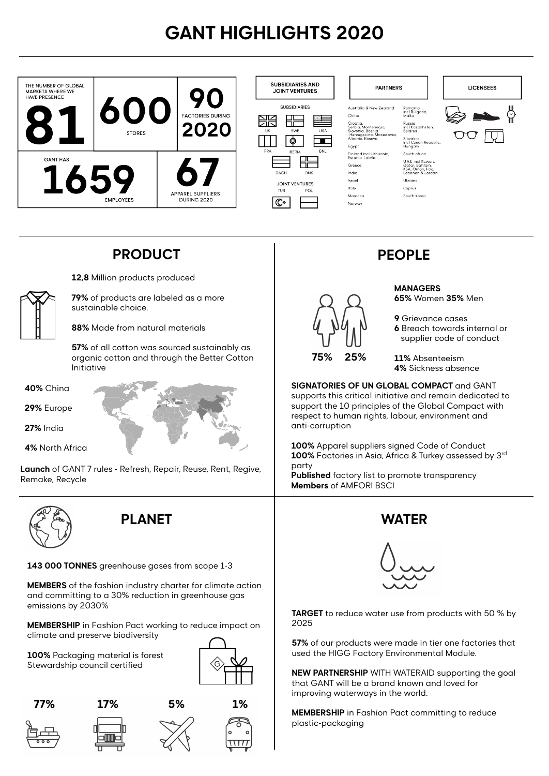# **GANT HIGHLIGHTS 2020**



### **PRODUCT PEOPLE**

**12,8** Million products produced



**79%** of products are labeled as a more sustainable choice.

**88%** Made from natural materials

**57%** of all cotton was sourced sustainably as organic cotton and through the Better Cotton Initiative

**40%** China

**29%** Europe

**27%** India

**4%** North Africa

**Launch** of GANT 7 rules - Refresh, Repair, Reuse, Rent, Regive, Remake, Recycle



### **PLANET WATER**

#### **143 000 TONNES** greenhouse gases from scope 1-3

**MEMBERS** of the fashion industry charter for climate action and committing to a 30% reduction in greenhouse gas emissions by 2030%

**MEMBERSHIP** in Fashion Pact working to reduce impact on climate and preserve biodiversity

**100%** Packaging material is forest Stewardship council certified









17%











- **9** Grievance cases
- **6** Breach towards internal or supplier code of conduct

**11%** Absenteeism **4%** Sickness absence

**SIGNATORIES OF UN GLOBAL COMPACT** and GANT supports this critical initiative and remain dedicated to support the 10 principles of the Global Compact with respect to human rights, labour, environment and anti-corruption

**100%** Apparel suppliers signed Code of Conduct **100%** Factories in Asia, Africa & Turkey assessed by 3rd party

**Published** factory list to promote transparency **Members** of AMFORI BSCI





**TARGET** to reduce water use from products with 50 % by 2025

**57%** of our products were made in tier one factories that used the HIGG Factory Environmental Module.

**NEW PARTNERSHIP** WITH WATERAID supporting the goal that GANT will be a brand known and loved for improving waterways in the world.

**MEMBERSHIP** in Fashion Pact committing to reduce plastic-packaging

**MANAGERS** 

**65%** Women **35%** Men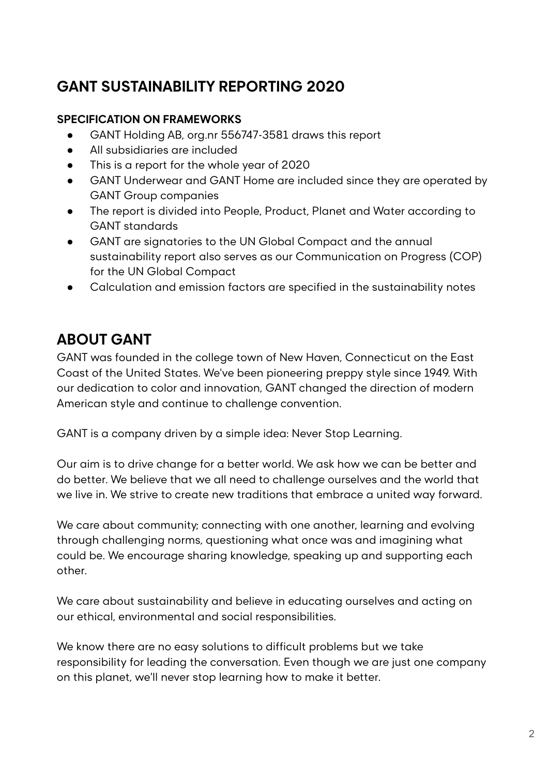### **GANT SUSTAINABILITY REPORTING 2020**

#### **SPECIFICATION ON FRAMEWORKS**

- GANT Holding AB, org.nr 556747-3581 draws this report
- All subsidiaries are included
- This is a report for the whole year of 2020
- GANT Underwear and GANT Home are included since they are operated by GANT Group companies
- The report is divided into People, Product, Planet and Water according to GANT standards
- GANT are signatories to the UN Global Compact and the annual sustainability report also serves as our Communication on Progress (COP) for the UN Global Compact
- Calculation and emission factors are specified in the sustainability notes

### **ABOUT GANT**

GANT was founded in the college town of New Haven, Connecticut on the East Coast of the United States. We've been pioneering preppy style since 1949. With our dedication to color and innovation, GANT changed the direction of modern American style and continue to challenge convention.

GANT is a company driven by a simple idea: Never Stop Learning.

Our aim is to drive change for a better world. We ask how we can be better and do better. We believe that we all need to challenge ourselves and the world that we live in. We strive to create new traditions that embrace a united way forward.

We care about community; connecting with one another, learning and evolving through challenging norms, questioning what once was and imagining what could be. We encourage sharing knowledge, speaking up and supporting each other.

We care about sustainability and believe in educating ourselves and acting on our ethical, environmental and social responsibilities.

We know there are no easy solutions to difficult problems but we take responsibility for leading the conversation. Even though we are just one company on this planet, we'll never stop learning how to make it better.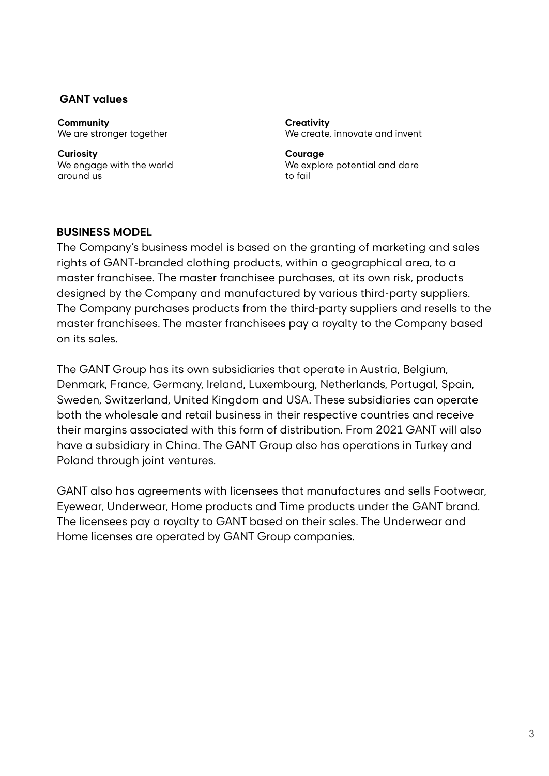#### **GANT values**

**Community** We are stronger together

**Curiosity** We engage with the world around us

**Creativity** We create, innovate and invent

**Courage** We explore potential and dare to fail

#### **BUSINESS MODEL**

The Company's business model is based on the granting of marketing and sales rights of GANT-branded clothing products, within a geographical area, to a master franchisee. The master franchisee purchases, at its own risk, products designed by the Company and manufactured by various third-party suppliers. The Company purchases products from the third-party suppliers and resells to the master franchisees. The master franchisees pay a royalty to the Company based on its sales.

The GANT Group has its own subsidiaries that operate in Austria, Belgium, Denmark, France, Germany, Ireland, Luxembourg, Netherlands, Portugal, Spain, Sweden, Switzerland, United Kingdom and USA. These subsidiaries can operate both the wholesale and retail business in their respective countries and receive their margins associated with this form of distribution. From 2021 GANT will also have a subsidiary in China. The GANT Group also has operations in Turkey and Poland through joint ventures.

GANT also has agreements with licensees that manufactures and sells Footwear, Eyewear, Underwear, Home products and Time products under the GANT brand. The licensees pay a royalty to GANT based on their sales. The Underwear and Home licenses are operated by GANT Group companies.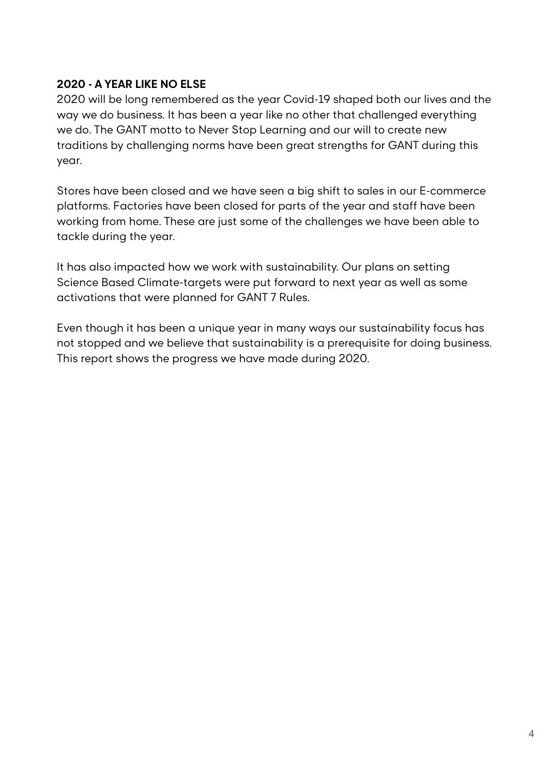#### **2020 - A YEAR LIKE NO ELSE**

2020 will be long remembered as the year Covid-19 shaped both our lives and the way we do business. It has been a year like no other that challenged everything we do. The GANT motto to Never Stop Learning and our will to create new traditions by challenging norms have been great strengths for GANT during this year.

Stores have been closed and we have seen a big shift to sales in our E-commerce platforms. Factories have been closed for parts of the year and staff have been working from home. These are just some of the challenges we have been able to tackle during the year.

It has also impacted how we work with sustainability. Our plans on setting Science Based Climate-targets were put forward to next year as well as some activations that were planned for GANT 7 Rules.

Even though it has been a unique year in many ways our sustainability focus has not stopped and we believe that sustainability is a prerequisite for doing business. This report shows the progress we have made during 2020.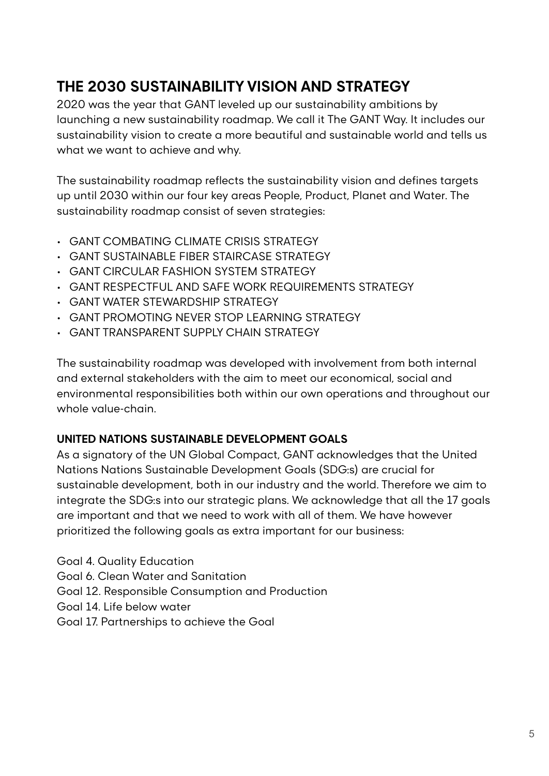### **THE 2030 SUSTAINABILITY VISION AND STRATEGY**

2020 was the year that GANT leveled up our sustainability ambitions by launching a new sustainability roadmap. We call it The GANT Way. It includes our sustainability vision to create a more beautiful and sustainable world and tells us what we want to achieve and why.

The sustainability roadmap reflects the sustainability vision and defines targets up until 2030 within our four key areas People, Product, Planet and Water. The sustainability roadmap consist of seven strategies:

- GANT COMBATING CLIMATE CRISIS STRATEGY
- GANT SUSTAINABLE FIBER STAIRCASE STRATEGY
- GANT CIRCULAR FASHION SYSTEM STRATEGY
- GANT RESPECTFUL AND SAFE WORK REQUIREMENTS STRATEGY
- GANT WATER STEWARDSHIP STRATEGY
- GANT PROMOTING NEVER STOP LEARNING STRATEGY
- GANT TRANSPARENT SUPPLY CHAIN STRATEGY

The sustainability roadmap was developed with involvement from both internal and external stakeholders with the aim to meet our economical, social and environmental responsibilities both within our own operations and throughout our whole value-chain.

#### **UNITED NATIONS SUSTAINABLE DEVELOPMENT GOALS**

As a signatory of the UN Global Compact, GANT acknowledges that the United Nations Nations Sustainable Development Goals (SDG:s) are crucial for sustainable development, both in our industry and the world. Therefore we aim to integrate the SDG:s into our strategic plans. We acknowledge that all the 17 goals are important and that we need to work with all of them. We have however prioritized the following goals as extra important for our business:

Goal 4. Quality Education Goal 6. Clean Water and Sanitation Goal 12. Responsible Consumption and Production Goal 14. Life below water

Goal 17. Partnerships to achieve the Goal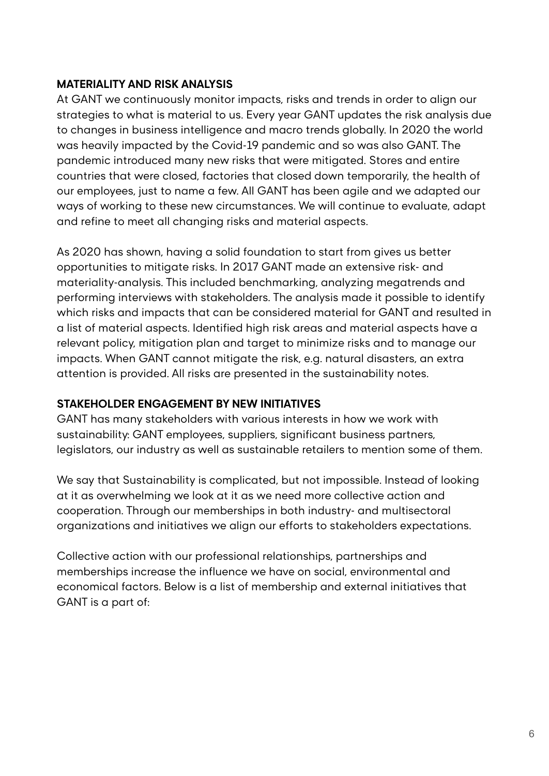#### **MATERIALITY AND RISK ANALYSIS**

At GANT we continuously monitor impacts, risks and trends in order to align our strategies to what is material to us. Every year GANT updates the risk analysis due to changes in business intelligence and macro trends globally. In 2020 the world was heavily impacted by the Covid-19 pandemic and so was also GANT. The pandemic introduced many new risks that were mitigated. Stores and entire countries that were closed, factories that closed down temporarily, the health of our employees, just to name a few. All GANT has been agile and we adapted our ways of working to these new circumstances. We will continue to evaluate, adapt and refine to meet all changing risks and material aspects.

As 2020 has shown, having a solid foundation to start from gives us better opportunities to mitigate risks. In 2017 GANT made an extensive risk- and materiality-analysis. This included benchmarking, analyzing megatrends and performing interviews with stakeholders. The analysis made it possible to identify which risks and impacts that can be considered material for GANT and resulted in a list of material aspects. Identified high risk areas and material aspects have a relevant policy, mitigation plan and target to minimize risks and to manage our impacts. When GANT cannot mitigate the risk, e.g. natural disasters, an extra attention is provided. All risks are presented in the sustainability notes.

#### **STAKEHOLDER ENGAGEMENT BY NEW INITIATIVES**

GANT has many stakeholders with various interests in how we work with sustainability: GANT employees, suppliers, significant business partners, legislators, our industry as well as sustainable retailers to mention some of them.

We say that Sustainability is complicated, but not impossible. Instead of looking at it as overwhelming we look at it as we need more collective action and cooperation. Through our memberships in both industry- and multisectoral organizations and initiatives we align our efforts to stakeholders expectations.

Collective action with our professional relationships, partnerships and memberships increase the influence we have on social, environmental and economical factors. Below is a list of membership and external initiatives that GANT is a part of: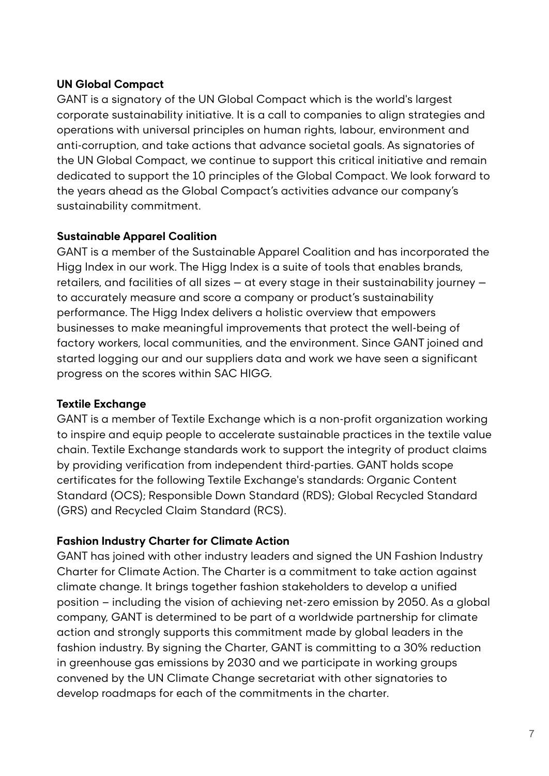#### **UN Global Compact**

GANT is a signatory of the UN Global Compact which is the world's largest corporate sustainability initiative. It is a call to companies to align strategies and operations with universal principles on human rights, labour, environment and anti-corruption, and take actions that advance societal goals. As signatories of the UN Global Compact, we continue to support this critical initiative and remain dedicated to support the 10 principles of the Global Compact. We look forward to the years ahead as the Global Compact's activities advance our company's sustainability commitment.

#### **Sustainable Apparel Coalition**

GANT is a member of the Sustainable Apparel Coalition and has incorporated the Higg Index in our work. The Higg Index is a suite of tools that enables brands, retailers, and facilities of all sizes — at every stage in their sustainability journey to accurately measure and score a company or product's sustainability performance. The Higg Index delivers a holistic overview that empowers businesses to make meaningful improvements that protect the well-being of factory workers, local communities, and the environment. Since GANT joined and started logging our and our suppliers data and work we have seen a significant progress on the scores within SAC HIGG.

#### **Textile Exchange**

GANT is a member of Textile Exchange which is a non-profit organization working to inspire and equip people to accelerate sustainable practices in the textile value chain. Textile Exchange standards work to support the integrity of product claims by providing verification from independent third-parties. GANT holds scope certificates for the following Textile Exchange's standards: Organic Content Standard (OCS); Responsible Down Standard (RDS); Global Recycled Standard (GRS) and Recycled Claim Standard (RCS).

#### **Fashion Industry Charter for Climate Action**

GANT has joined with other industry leaders and signed the UN Fashion Industry Charter for Climate Action. The Charter is a commitment to take action against climate change. It brings together fashion stakeholders to develop a unified position – including the vision of achieving net-zero emission by 2050. As a global company, GANT is determined to be part of a worldwide partnership for climate action and strongly supports this commitment made by global leaders in the fashion industry. By signing the Charter, GANT is committing to a 30% reduction in greenhouse gas emissions by 2030 and we participate in working groups convened by the UN Climate Change secretariat with other signatories to develop roadmaps for each of the commitments in the charter.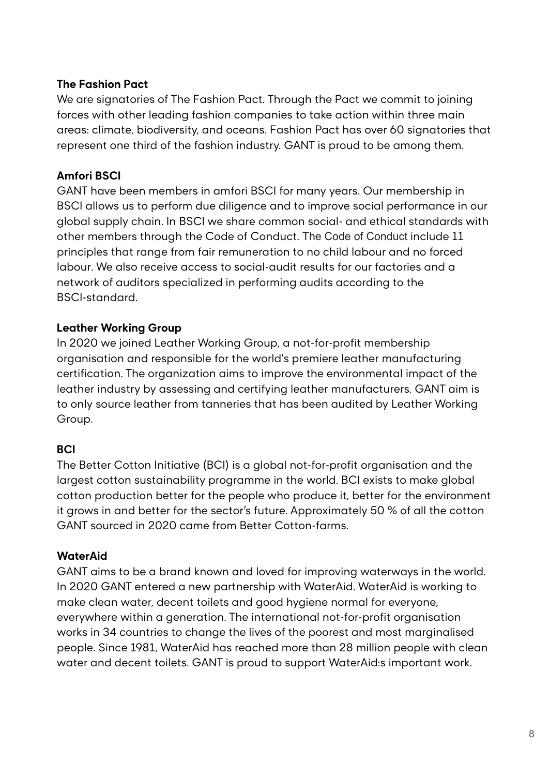#### **The Fashion Pact**

We are signatories of The Fashion Pact. Through the Pact we commit to joining forces with other leading fashion companies to take action within three main areas: climate, biodiversity, and oceans. Fashion Pact has over 60 signatories that represent one third of the fashion industry. GANT is proud to be among them.

#### **Amfori BSCI**

GANT have been members in amfori BSCI for many years. Our membership in BSCI allows us to perform due diligence and to improve social performance in our global supply chain. In BSCI we share common social- and ethical standards with other members through the Code of Conduct. The Code of Conduct include 11 principles that range from fair remuneration to no child labour and no forced labour. We also receive access to social-audit results for our factories and a network of auditors specialized in performing audits according to the BSCI-standard.

#### **Leather Working Group**

In 2020 we joined Leather Working Group, a not-for-profit membership organisation and responsible for the world's premiere leather manufacturing certification. The organization aims to improve the environmental impact of the leather industry by assessing and certifying leather manufacturers. GANT aim is to only source leather from tanneries that has been audited by Leather Working Group.

#### **BCI**

The Better Cotton Initiative (BCI) is a global not-for-profit organisation and the largest cotton sustainability programme in the world. BCI exists to make global cotton production better for the people who produce it, better for the environment it grows in and better for the sector's future. Approximately 50 % of all the cotton GANT sourced in 2020 came from Better Cotton-farms.

#### **WaterAid**

GANT aims to be a brand known and loved for improving waterways in the world. In 2020 GANT entered a new partnership with WaterAid. WaterAid is working to make clean water, decent toilets and good hygiene normal for everyone, everywhere within a generation. The international not-for-profit organisation works in 34 countries to change the lives of the poorest and most marginalised people. Since 1981, WaterAid has reached more than 28 million people with clean water and decent toilets. GANT is proud to support WaterAid:s important work.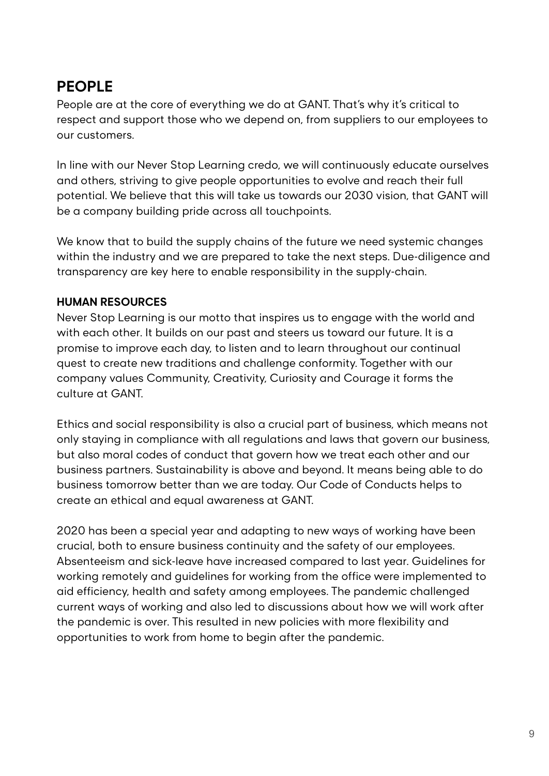## **PEOPLE**

People are at the core of everything we do at GANT. That's why it's critical to respect and support those who we depend on, from suppliers to our employees to our customers.

In line with our Never Stop Learning credo, we will continuously educate ourselves and others, striving to give people opportunities to evolve and reach their full potential. We believe that this will take us towards our 2030 vision, that GANT will be a company building pride across all touchpoints.

We know that to build the supply chains of the future we need systemic changes within the industry and we are prepared to take the next steps. Due-diligence and transparency are key here to enable responsibility in the supply-chain.

#### **HUMAN RESOURCES**

Never Stop Learning is our motto that inspires us to engage with the world and with each other. It builds on our past and steers us toward our future. It is a promise to improve each day, to listen and to learn throughout our continual quest to create new traditions and challenge conformity. Together with our company values Community, Creativity, Curiosity and Courage it forms the culture at GANT.

Ethics and social responsibility is also a crucial part of business, which means not only staying in compliance with all regulations and laws that govern our business, but also moral codes of conduct that govern how we treat each other and our business partners. Sustainability is above and beyond. It means being able to do business tomorrow better than we are today. Our Code of Conducts helps to create an ethical and equal awareness at GANT.

2020 has been a special year and adapting to new ways of working have been crucial, both to ensure business continuity and the safety of our employees. Absenteeism and sick-leave have increased compared to last year. Guidelines for working remotely and guidelines for working from the office were implemented to aid efficiency, health and safety among employees. The pandemic challenged current ways of working and also led to discussions about how we will work after the pandemic is over. This resulted in new policies with more flexibility and opportunities to work from home to begin after the pandemic.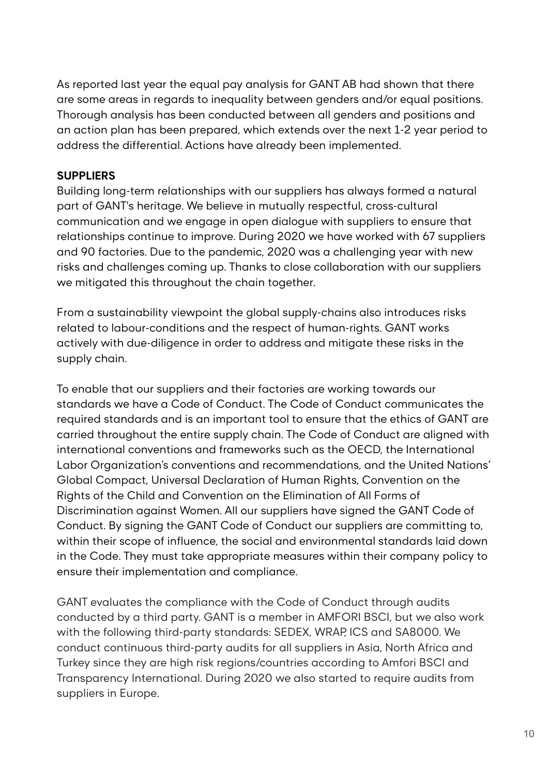As reported last year the equal pay analysis for GANT AB had shown that there are some areas in regards to inequality between genders and/or equal positions. Thorough analysis has been conducted between all genders and positions and an action plan has been prepared, which extends over the next 1-2 year period to address the differential. Actions have already been implemented.

#### **SUPPLIERS**

Building long-term relationships with our suppliers has always formed a natural part of GANT's heritage. We believe in mutually respectful, cross-cultural communication and we engage in open dialogue with suppliers to ensure that relationships continue to improve. During 2020 we have worked with 67 suppliers and 90 factories. Due to the pandemic, 2020 was a challenging year with new risks and challenges coming up. Thanks to close collaboration with our suppliers we mitigated this throughout the chain together.

From a sustainability viewpoint the global supply-chains also introduces risks related to labour-conditions and the respect of human-rights. GANT works actively with due-diligence in order to address and mitigate these risks in the supply chain.

To enable that our suppliers and their factories are working towards our standards we have a Code of Conduct. The Code of Conduct communicates the required standards and is an important tool to ensure that the ethics of GANT are carried throughout the entire supply chain. The Code of Conduct are aligned with international conventions and frameworks such as the OECD, the International Labor Organization's conventions and recommendations, and the United Nations' Global Compact, Universal Declaration of Human Rights, Convention on the Rights of the Child and Convention on the Elimination of All Forms of Discrimination against Women. All our suppliers have signed the GANT Code of Conduct. By signing the GANT Code of Conduct our suppliers are committing to, within their scope of influence, the social and environmental standards laid down in the Code. They must take appropriate measures within their company policy to ensure their implementation and compliance.

GANT evaluates the compliance with the Code of Conduct through audits conducted by a third party. GANT is a member in AMFORI BSCI, but we also work with the following third-party standards: SEDEX, WRAP, ICS and SA8000. We conduct continuous third-party audits for all suppliers in Asia, North Africa and Turkey since they are high risk regions/countries according to Amfori BSCI and Transparency International. During 2020 we also started to require audits from suppliers in Europe.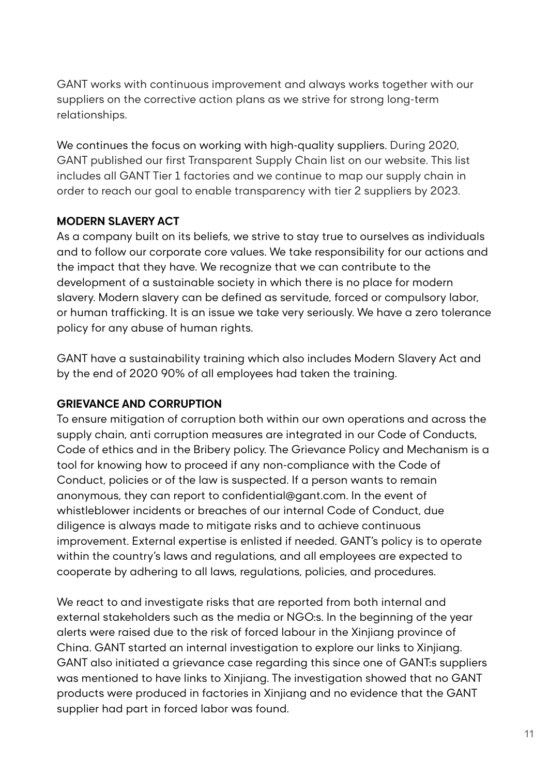GANT works with continuous improvement and always works together with our suppliers on the corrective action plans as we strive for strong long-term relationships.

We continues the focus on working with high-quality suppliers. During 2020, GANT published our first Transparent Supply Chain list on our website. This list includes all GANT Tier 1 factories and we continue to map our supply chain in order to reach our goal to enable transparency with tier 2 suppliers by 2023.

#### **MODERN SLAVERY ACT**

As a company built on its beliefs, we strive to stay true to ourselves as individuals and to follow our corporate core values. We take responsibility for our actions and the impact that they have. We recognize that we can contribute to the development of a sustainable society in which there is no place for modern slavery. Modern slavery can be defined as servitude, forced or compulsory labor, or human trafficking. It is an issue we take very seriously. We have a zero tolerance policy for any abuse of human rights.

GANT have a sustainability training which also includes Modern Slavery Act and by the end of 2020 90% of all employees had taken the training.

#### **GRIEVANCE AND CORRUPTION**

To ensure mitigation of corruption both within our own operations and across the supply chain, anti corruption measures are integrated in our Code of Conducts, Code of ethics and in the Bribery policy. The Grievance Policy and Mechanism is a tool for knowing how to proceed if any non-compliance with the Code of Conduct, policies or of the law is suspected. If a person wants to remain anonymous, they can report to confidential@gant.com. In the event of whistleblower incidents or breaches of our internal Code of Conduct, due diligence is always made to mitigate risks and to achieve continuous improvement. External expertise is enlisted if needed. GANT's policy is to operate within the country's laws and regulations, and all employees are expected to cooperate by adhering to all laws, regulations, policies, and procedures.

We react to and investigate risks that are reported from both internal and external stakeholders such as the media or NGO:s. In the beginning of the year alerts were raised due to the risk of forced labour in the Xinjiang province of China. GANT started an internal investigation to explore our links to Xinjiang. GANT also initiated a grievance case regarding this since one of GANT:s suppliers was mentioned to have links to Xinjiang. The investigation showed that no GANT products were produced in factories in Xinjiang and no evidence that the GANT supplier had part in forced labor was found.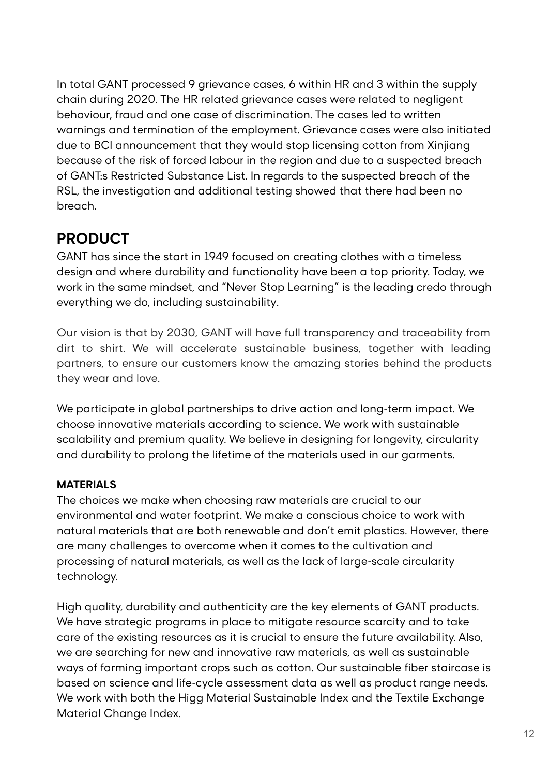In total GANT processed 9 grievance cases, 6 within HR and 3 within the supply chain during 2020. The HR related grievance cases were related to negligent behaviour, fraud and one case of discrimination. The cases led to written warnings and termination of the employment. Grievance cases were also initiated due to BCI announcement that they would stop licensing cotton from Xinjiang because of the risk of forced labour in the region and due to a suspected breach of GANT:s Restricted Substance List. In regards to the suspected breach of the RSL, the investigation and additional testing showed that there had been no breach.

### **PRODUCT**

GANT has since the start in 1949 focused on creating clothes with a timeless design and where durability and functionality have been a top priority. Today, we work in the same mindset, and "Never Stop Learning" is the leading credo through everything we do, including sustainability.

Our vision is that by 2030, GANT will have full transparency and traceability from dirt to shirt. We will accelerate sustainable business, together with leading partners, to ensure our customers know the amazing stories behind the products they wear and love.

We participate in global partnerships to drive action and long-term impact. We choose innovative materials according to science. We work with sustainable scalability and premium quality. We believe in designing for longevity, circularity and durability to prolong the lifetime of the materials used in our garments.

### **MATERIALS**

The choices we make when choosing raw materials are crucial to our environmental and water footprint. We make a conscious choice to work with natural materials that are both renewable and don't emit plastics. However, there are many challenges to overcome when it comes to the cultivation and processing of natural materials, as well as the lack of large-scale circularity technology.

High quality, durability and authenticity are the key elements of GANT products. We have strategic programs in place to mitigate resource scarcity and to take care of the existing resources as it is crucial to ensure the future availability. Also, we are searching for new and innovative raw materials, as well as sustainable ways of farming important crops such as cotton. Our sustainable fiber staircase is based on science and life-cycle assessment data as well as product range needs. We work with both the Higg Material Sustainable Index and the Textile Exchange Material Change Index.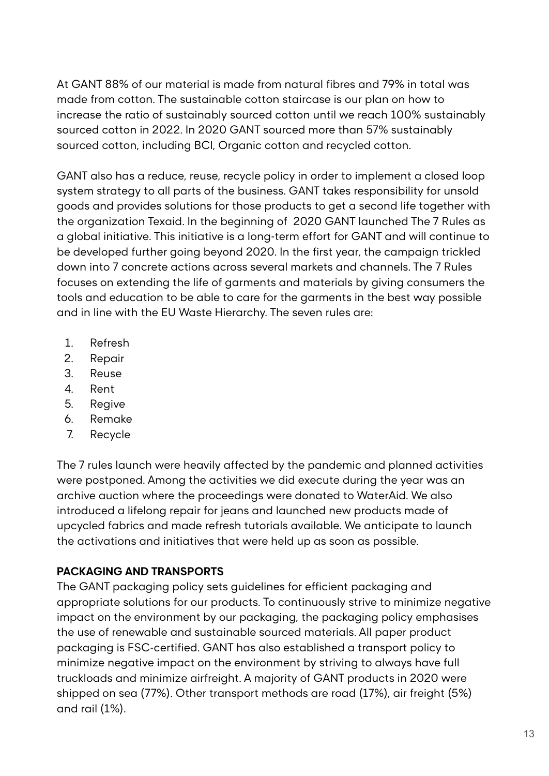At GANT 88% of our material is made from natural fibres and 79% in total was made from cotton. The sustainable cotton staircase is our plan on how to increase the ratio of sustainably sourced cotton until we reach 100% sustainably sourced cotton in 2022. In 2020 GANT sourced more than 57% sustainably sourced cotton, including BCI, Organic cotton and recycled cotton.

GANT also has a reduce, reuse, recycle policy in order to implement a closed loop system strategy to all parts of the business. GANT takes responsibility for unsold goods and provides solutions for those products to get a second life together with the organization Texaid. In the beginning of 2020 GANT launched The 7 Rules as a global initiative. This initiative is a long-term effort for GANT and will continue to be developed further going beyond 2020. In the first year, the campaign trickled down into 7 concrete actions across several markets and channels. The 7 Rules focuses on extending the life of garments and materials by giving consumers the tools and education to be able to care for the garments in the best way possible and in line with the EU Waste Hierarchy. The seven rules are:

- 1. Refresh
- 2. Repair
- 3. Reuse
- 4. Rent
- 5. Regive
- 6. Remake
- 7. Recycle

The 7 rules launch were heavily affected by the pandemic and planned activities were postponed. Among the activities we did execute during the year was an archive auction where the proceedings were donated to WaterAid. We also introduced a lifelong repair for jeans and launched new products made of upcycled fabrics and made refresh tutorials available. We anticipate to launch the activations and initiatives that were held up as soon as possible.

#### **PACKAGING AND TRANSPORTS**

The GANT packaging policy sets guidelines for efficient packaging and appropriate solutions for our products. To continuously strive to minimize negative impact on the environment by our packaging, the packaging policy emphasises the use of renewable and sustainable sourced materials. All paper product packaging is FSC-certified. GANT has also established a transport policy to minimize negative impact on the environment by striving to always have full truckloads and minimize airfreight. A majority of GANT products in 2020 were shipped on sea (77%). Other transport methods are road (17%), air freight (5%) and rail (1%).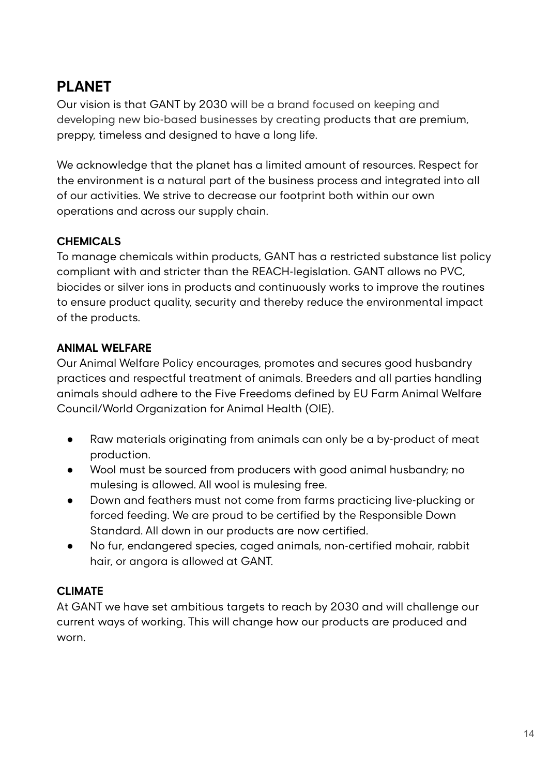### **PLANET**

Our vision is that GANT by 2030 will be a brand focused on keeping and developing new bio-based businesses by creating products that are premium, preppy, timeless and designed to have a long life.

We acknowledge that the planet has a limited amount of resources. Respect for the environment is a natural part of the business process and integrated into all of our activities. We strive to decrease our footprint both within our own operations and across our supply chain.

#### **CHEMICALS**

To manage chemicals within products, GANT has a restricted substance list policy compliant with and stricter than the REACH-legislation. GANT allows no PVC, biocides or silver ions in products and continuously works to improve the routines to ensure product quality, security and thereby reduce the environmental impact of the products.

#### **ANIMAL WELFARE**

Our Animal Welfare Policy encourages, promotes and secures good husbandry practices and respectful treatment of animals. Breeders and all parties handling animals should adhere to the Five Freedoms defined by EU Farm Animal Welfare Council/World Organization for Animal Health (OIE).

- Raw materials originating from animals can only be a by-product of meat production.
- Wool must be sourced from producers with good animal husbandry; no mulesing is allowed. All wool is mulesing free.
- Down and feathers must not come from farms practicing live-plucking or forced feeding. We are proud to be certified by the Responsible Down Standard. All down in our products are now certified.
- No fur, endangered species, caged animals, non-certified mohair, rabbit hair, or angora is allowed at GANT.

#### **CLIMATE**

At GANT we have set ambitious targets to reach by 2030 and will challenge our current ways of working. This will change how our products are produced and worn.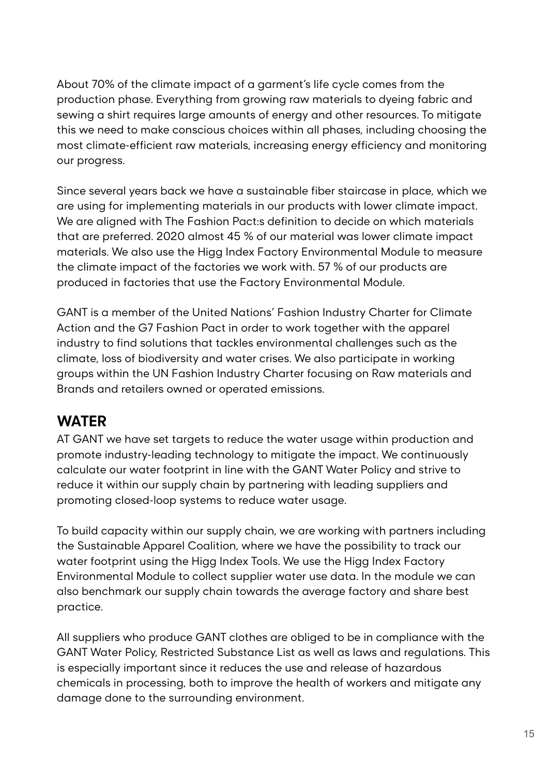About 70% of the climate impact of a garment's life cycle comes from the production phase. Everything from growing raw materials to dyeing fabric and sewing a shirt requires large amounts of energy and other resources. To mitigate this we need to make conscious choices within all phases, including choosing the most climate-efficient raw materials, increasing energy efficiency and monitoring our progress.

Since several years back we have a sustainable fiber staircase in place, which we are using for implementing materials in our products with lower climate impact. We are aligned with The Fashion Pact:s definition to decide on which materials that are preferred. 2020 almost 45 % of our material was lower climate impact materials. We also use the Higg Index Factory Environmental Module to measure the climate impact of the factories we work with. 57 % of our products are produced in factories that use the Factory Environmental Module.

GANT is a member of the United Nations' Fashion Industry Charter for Climate Action and the G7 Fashion Pact in order to work together with the apparel industry to find solutions that tackles environmental challenges such as the climate, loss of biodiversity and water crises. We also participate in working groups within the UN Fashion Industry Charter focusing on Raw materials and Brands and retailers owned or operated emissions.

### **WATER**

AT GANT we have set targets to reduce the water usage within production and promote industry-leading technology to mitigate the impact. We continuously calculate our water footprint in line with the GANT Water Policy and strive to reduce it within our supply chain by partnering with leading suppliers and promoting closed-loop systems to reduce water usage.

To build capacity within our supply chain, we are working with partners including the Sustainable Apparel Coalition, where we have the possibility to track our water footprint using the Higg Index Tools. We use the Higg Index Factory Environmental Module to collect supplier water use data. In the module we can also benchmark our supply chain towards the average factory and share best practice.

All suppliers who produce GANT clothes are obliged to be in compliance with the GANT Water Policy, Restricted Substance List as well as laws and regulations. This is especially important since it reduces the use and release of hazardous chemicals in processing, both to improve the health of workers and mitigate any damage done to the surrounding environment.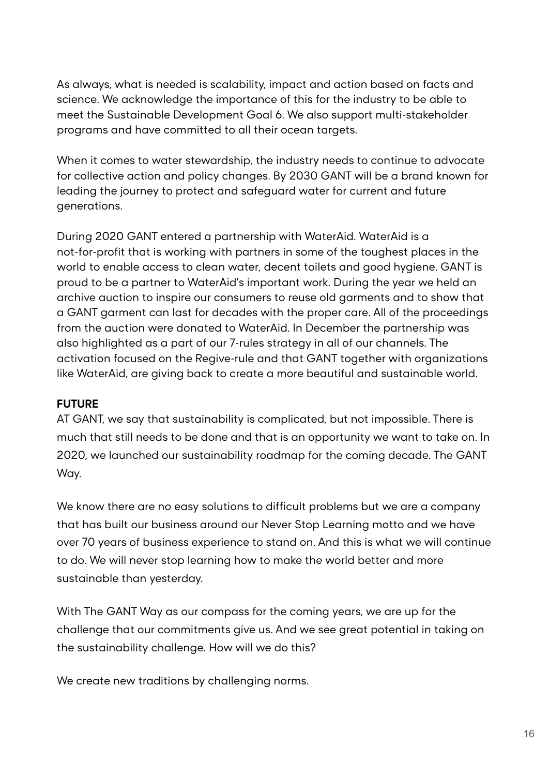As always, what is needed is scalability, impact and action based on facts and science. We acknowledge the importance of this for the industry to be able to meet the Sustainable Development Goal 6. We also support multi-stakeholder programs and have committed to all their ocean targets.

When it comes to water stewardship, the industry needs to continue to advocate for collective action and policy changes. By 2030 GANT will be a brand known for leading the journey to protect and safeguard water for current and future generations.

During 2020 GANT entered a partnership with WaterAid. WaterAid is a not-for-profit that is working with partners in some of the toughest places in the world to enable access to clean water, decent toilets and good hygiene. GANT is proud to be a partner to WaterAid's important work. During the year we held an archive auction to inspire our consumers to reuse old garments and to show that a GANT garment can last for decades with the proper care. All of the proceedings from the auction were donated to WaterAid. In December the partnership was also highlighted as a part of our 7-rules strategy in all of our channels. The activation focused on the Regive-rule and that GANT together with organizations like WaterAid, are giving back to create a more beautiful and sustainable world.

#### **FUTURE**

AT GANT, we say that sustainability is complicated, but not impossible. There is much that still needs to be done and that is an opportunity we want to take on. In 2020, we launched our sustainability roadmap for the coming decade. The GANT Way.

We know there are no easy solutions to difficult problems but we are a company that has built our business around our Never Stop Learning motto and we have over 70 years of business experience to stand on. And this is what we will continue to do. We will never stop learning how to make the world better and more sustainable than yesterday.

With The GANT Way as our compass for the coming years, we are up for the challenge that our commitments give us. And we see great potential in taking on the sustainability challenge. How will we do this?

We create new traditions by challenging norms.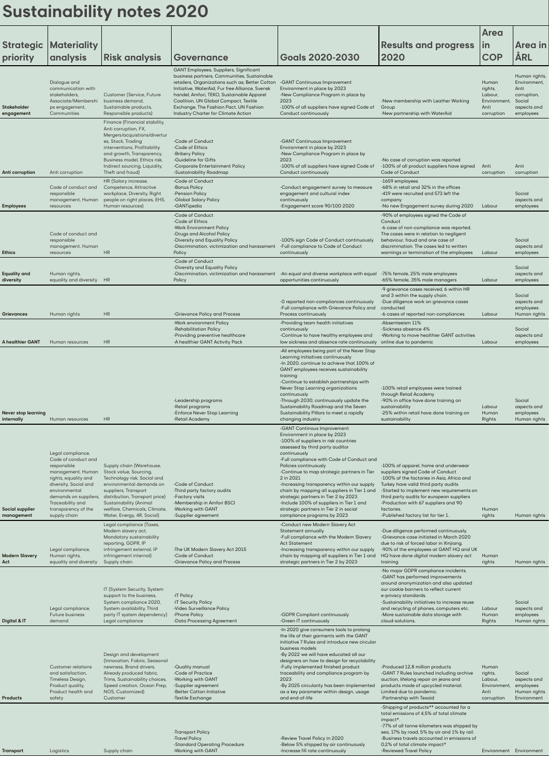# **Sustainability notes 2020**

|                                          |                                                                                                                                                                                                                                    |                                                                                                                                                                                                                                                                 |                                                                                                                                                                                                                                                                                                                          |                                                                                                                                                                                                                                                                                                                                                                                                                                                                                                                                                     |                                                                                                                                                                                                                                                                                                                                                       | Area                                                              |                                                                                            |
|------------------------------------------|------------------------------------------------------------------------------------------------------------------------------------------------------------------------------------------------------------------------------------|-----------------------------------------------------------------------------------------------------------------------------------------------------------------------------------------------------------------------------------------------------------------|--------------------------------------------------------------------------------------------------------------------------------------------------------------------------------------------------------------------------------------------------------------------------------------------------------------------------|-----------------------------------------------------------------------------------------------------------------------------------------------------------------------------------------------------------------------------------------------------------------------------------------------------------------------------------------------------------------------------------------------------------------------------------------------------------------------------------------------------------------------------------------------------|-------------------------------------------------------------------------------------------------------------------------------------------------------------------------------------------------------------------------------------------------------------------------------------------------------------------------------------------------------|-------------------------------------------------------------------|--------------------------------------------------------------------------------------------|
| <b>Strategic</b><br>priority             | <b>Materiality</b><br>analysis                                                                                                                                                                                                     | <b>Risk analysis</b>                                                                                                                                                                                                                                            | Governance                                                                                                                                                                                                                                                                                                               | <b>Goals 2020-2030</b>                                                                                                                                                                                                                                                                                                                                                                                                                                                                                                                              | <b>Results and progress</b><br>2020                                                                                                                                                                                                                                                                                                                   | $\mathsf{in}$<br><b>COP</b>                                       | Area in<br>ÅRL                                                                             |
|                                          |                                                                                                                                                                                                                                    |                                                                                                                                                                                                                                                                 | GANT Employees, Suppliers, Significant                                                                                                                                                                                                                                                                                   |                                                                                                                                                                                                                                                                                                                                                                                                                                                                                                                                                     |                                                                                                                                                                                                                                                                                                                                                       |                                                                   |                                                                                            |
| Stakeholder<br>engagement                | Dialogue and<br>communication with<br>stakeholders,<br>Associate/Membershi<br>ps engagement,<br>Communities                                                                                                                        | Customer (Service, Future<br>business demand,<br>Sustainable products,<br>Responsible products)                                                                                                                                                                 | business partners, Communities, Sustainable<br>retailers, Organizations such as; Better Cotton<br>Initiative, WaterAid, Fur free Alliance, Svensk<br>handel, Amfori, TEKO, Sustainable Apparel<br>Coalition, UN Global Compact, Textile<br>Exchange, The Fashion Pact, UN Fashion<br>Industry Charter for Climate Action | -GANT Continuous Improvement<br>Environment in place by 2023<br>-New Compliance Program in place by<br>2023<br>-100% of all suppliers have signed Code of<br>Conduct continuously                                                                                                                                                                                                                                                                                                                                                                   | -New membership with Leather Working<br>Group<br>-New partnership with WaterAid                                                                                                                                                                                                                                                                       | Human<br>rights,<br>Labour,<br>Environment,<br>Anti<br>corruption | Human rights,<br>Environment,<br>Anti<br>corruption,<br>Social<br>aspects and<br>employees |
| Anti corruption                          | Anti corruption                                                                                                                                                                                                                    | Finance (Financial stability,<br>Anti corruption, FX,<br>Mergers/acquistions/divertur<br>es, Stock, Trading<br>interventions, Profitability<br>and growth, Transparency,<br>Business model, Ethics risk,<br>Indirect sourcing, Liquidity,<br>Theft and fraud)   | -Code of Conduct<br>-Code of Ethics<br>-Bribery Policy<br>-Guideline for Gifts<br>-Corporate Entertainment Policy<br>-Sustainability Roadmap                                                                                                                                                                             | -GANT Continuous Improvement<br>Environment in place by 2023<br>-New Compliance Program in place by<br>2023<br>-100% of all suppliers have signed Code of<br>Conduct continuously                                                                                                                                                                                                                                                                                                                                                                   | -No case of corruption was reported<br>-100% of all product suppliers have signed<br>Code of Conduct                                                                                                                                                                                                                                                  | Anti<br>corruption                                                | Anti<br>corruption                                                                         |
| <b>Employees</b>                         | Code of conduct and<br>responsible<br>management, Human<br>resources                                                                                                                                                               | HR (Salary increase,<br>Competence, Attractive<br>workplace, Diversity, Right<br>people on right places, EHS,<br>Human resources)                                                                                                                               | -Code of Conduct<br>-Bonus Policy<br>-Pension Policy<br>-Global Salary Policy<br>-GANTipedia                                                                                                                                                                                                                             | -Conduct engagement survey to measure<br>engagement and cultural index<br>continuously<br>-Engagement score 90/100 2020                                                                                                                                                                                                                                                                                                                                                                                                                             | -1659 employees<br>-68% in retail and 32% in the offices<br>-419 were recruited and 573 left the<br>company<br>-No new Engagement survey during 2020                                                                                                                                                                                                  | Labour                                                            | Social<br>aspects and<br>employees                                                         |
| <b>Ethics</b>                            | Code of conduct and<br>responsible<br>management, Human<br>resources                                                                                                                                                               | <b>HR</b>                                                                                                                                                                                                                                                       | -Code of Conduct<br>-Code of Ethics<br>-Work Environment Policy<br>-Drugs and Alcohol Policy<br>-Diversity and Equality Policy<br>-Discrimination, victimization and harassment -Full compliance to Code of Conduct<br>Policy                                                                                            | -100% sign Code of Conduct continuously<br>continuously                                                                                                                                                                                                                                                                                                                                                                                                                                                                                             | -90% of employees signed the Code of<br>Conduct<br>-6 case of non-compliance was reported.<br>The cases were in relation to negligent<br>behaviour, fraud and one case of<br>discrimination. The cases led to written<br>warnings or termination of the employees                                                                                     | Labour                                                            | Social<br>aspects and<br>employees                                                         |
| <b>Equality and</b><br>diversity         | Human rights,<br>equality and diversity                                                                                                                                                                                            | HR                                                                                                                                                                                                                                                              | -Code of Conduct<br>-Diversity and Equality Policy<br>-Discrimination, victimization and harassment -An equal and diverse workplace with equal -75% female, 25% male employees<br>Policy                                                                                                                                 | opportunities continuously                                                                                                                                                                                                                                                                                                                                                                                                                                                                                                                          | -65% female, 35% male managers                                                                                                                                                                                                                                                                                                                        | Labour                                                            | Social<br>aspects and<br>employees                                                         |
| <b>Grievances</b>                        | Human rights                                                                                                                                                                                                                       | <b>HR</b>                                                                                                                                                                                                                                                       | -Grievance Policy and Process                                                                                                                                                                                                                                                                                            | -0 reported non-compliances continuously<br>-Full compliance with Grievance Policy and<br>Process continuously                                                                                                                                                                                                                                                                                                                                                                                                                                      | -9 grievance cases received, 6 within HR<br>and 3 within the supply chain.<br>-Due diligence work on grievance cases<br>conducted<br>-6 cases of reported non-compliances                                                                                                                                                                             | Labour                                                            | Social<br>aspects and<br>employees<br>Human rights                                         |
| A healthier GANT                         | Human resources                                                                                                                                                                                                                    | <b>HR</b>                                                                                                                                                                                                                                                       | -Work environment Policy<br>-Rehabilitation Policy<br>-Providing preventive healthcare<br>-A healthier GANT Activity Pack                                                                                                                                                                                                | -Providing team health initiatives<br>continuously<br>-Continue to have healthy employees and<br>low sickness and absence rate continuously                                                                                                                                                                                                                                                                                                                                                                                                         | -Absenteeism 11%<br>-Sickness absence 4%<br>-Working to move healthier GANT activities<br>online due to pandemic                                                                                                                                                                                                                                      | Labour                                                            | Social<br>aspects and<br>employees                                                         |
| <b>Never stop learning</b><br>internally | Human resources                                                                                                                                                                                                                    | <b>HR</b>                                                                                                                                                                                                                                                       | -Leadership programs<br>-Retail programs<br>-Enforce Never Stop Learning<br>-Retail Academy                                                                                                                                                                                                                              | -All employees being part of the Never Stop<br>Learning initiatives continuously<br>-In 2020, continue to achieve that 100% of<br>GANT employees receives sustainability<br>training<br>-Continue to establish partnerships with<br>Never Stop Learning organizations<br>continuously<br>-Through 2030, continuously update the<br>Sustainability Roadmap and the Seven<br>Sustainability Pillars to meet a rapidly<br>changing industry                                                                                                            | -100% retail employees were trained<br>through Retail Academy<br>-90% in office have done training on<br>sustainability<br>-25% within retail have done training on<br>sustainability                                                                                                                                                                 | Labour<br>Human<br>Rights                                         | Social<br>aspects and<br>employees<br>Human rights                                         |
| <b>Social supplier</b><br>management     | Legal compliance,<br>Code of conduct and<br>responsible<br>management, Human<br>rights, equality and<br>diversity, Social and<br>environmental<br>demands on suppliers,<br>Traceability and<br>transparency of the<br>supply chain | Supply chain (Warehouse,<br>Stock value, Sourcing,<br>Technology risk, Social and<br>environmental demands on<br>suppliers, Transport<br>distribution, Transport price)<br>Sustainability (Animal<br>welfare, Chemicals, Climate,<br>Water, Energy, 4R, Social) | -Code of Conduct<br>-Third party factory audits<br>-Factory visits<br>-Membership in Amfori BSCI<br>-Working with GANT<br>-Supplier agreement                                                                                                                                                                            | -GANT Continous Improvement<br>Environment in place by 2023<br>-100% of suppliers in risk countries<br>assessed by third party auditor<br>continuously<br>-Full compliance with Code of Conduct and<br>Policies continuously<br>-Continue to map strategic partners in Tier<br>2 in 2021<br>-Increasing transparency within our supply<br>chain by mapping all suppliers in Tier 1 and<br>strategic partners in Tier 2 by 2023<br>-Include 100% of suppliers in Tier 1 and<br>strategic partners in Tier 2 in social<br>compliance programs by 2023 | -100% of apparel, home and underwear<br>suppliers signed Code of Conduct<br>-100% of the factories in Asia, Africa and<br>Turkey have valid third party audits<br>-Started to implement new requirements on<br>third party audits for european suppliers<br>-Production with 67 suppliers and 90<br>factories.<br>-Published factory list for tier 1. | Human<br>rights                                                   | Human rights                                                                               |
| <b>Modern Slavery</b><br>Act             | Legal compliance,<br>Human rights,<br>equality and diversity                                                                                                                                                                       | Legal compliance (Taxes,<br>Modern slavery act,<br>Mandatory sustainability<br>reporting, GDPR, IP<br>infringement external, IP<br>infringement internal)<br>Supply chain                                                                                       | -The UK Modern Slavery Act 2015<br>-Code of Conduct<br>-Grievance Policy and Process                                                                                                                                                                                                                                     | -Conduct new Modern Slavery Act<br>Statement annually<br>-Full compliance with the Modern Slavery<br><b>Act Statement</b><br>-Increasing transparency within our supply<br>chain by mapping all suppliers in Tier 1 and<br>strategic partners in Tier 2 by 2023                                                                                                                                                                                                                                                                                     | -Due diligence performed continuously.<br>-Grievance-case initiated in March 2020<br>due to risk of forced labor in Xinjiang.<br>-90% of the employees at GANT HQ and UK<br>HQ have done digital modern slavery act<br>training                                                                                                                       | Human<br>rights                                                   | Human rights                                                                               |
| Digital & IT                             | Legal compliance,<br>Future business<br>demand                                                                                                                                                                                     | IT (System Security, System<br>support to the business,<br>System compliance 2020,<br>System availability, Third<br>party IT system dependency)<br>Legal compliance                                                                                             | -IT Policy<br>-IT Security Policy<br>-Video Surveillance Policy<br>-Phone Policy<br>-Data Processing Agreement                                                                                                                                                                                                           | -GDPR Compliant continuously<br>-Green IT continuously                                                                                                                                                                                                                                                                                                                                                                                                                                                                                              | -No major GDPR compliance incidents.<br>-GANT has performed improvements<br>around anonymization and also updated<br>our cookie banners to reflect current<br>e-privacy standards.<br>-Sustainability initiatives to increase reuse<br>and recycling of phones, computers etc.<br>-More sustainable data storage with<br>cloud-solutions.             | Labour<br>Human<br>Rights                                         | Social<br>aspects and<br>employees<br>Human rights                                         |
| <b>Products</b>                          | <b>Customer relations</b><br>and satisfaction,<br>Timeless Design,<br>Product quality,<br>Product health and<br>safety                                                                                                             | Design and development<br>(Innovation, Fabric, Seasonal<br>newness, Brand drivers,<br>Already produced fabric,<br>Trims, Sustainability choices,<br>Speed creation, Ocean Prep,<br>NOS, Customized)<br>Customer                                                 | -Quality manual<br>-Code of Practice<br>-Working with GANT<br>-Supplier agreement<br>-Better Cotton Initiative<br>-Textile Exchange                                                                                                                                                                                      | -In 2020 give consumers tools to prolong<br>the life of their garments with the GANT<br>initiative 7 Rules and introduce new circular<br>business models<br>-By 2022 we will have educated all our<br>designers on how to design for recyclability<br>-Fully implemented finished product<br>traceability and compliance program by<br>2023<br>-By 2025 circularity has been implemented<br>as a key parameter within design, usage<br>and end-of-life                                                                                              | -Produced 12,8 million products<br>-GANT 7 Rules launched including archive<br>auction, lifelong repair on jeans and<br>products made of upcycled material.<br>Limited due to pandemic.<br>-Partnership with Texaid                                                                                                                                   | Human<br>rights,<br>Labour,<br>Environment,<br>Anti<br>corruption | Social<br>aspects and<br>employees<br>Human rights<br>Environment                          |
| <b>Transport</b>                         | Logistics                                                                                                                                                                                                                          | Supply chain                                                                                                                                                                                                                                                    | -Transport Policy<br>-Travel Policy<br>-Standard Operating Procedure<br>-Working with GANT                                                                                                                                                                                                                               | -Review Travel Policy in 2020<br>-Below 5% shipped by air continuously<br>-Increase fill rate continuously                                                                                                                                                                                                                                                                                                                                                                                                                                          | -Shipping of products** accounted for a<br>total emissions of 4,5% of total climate<br>impact*.<br>-77% of all tonne-kilometers was shipped by<br>sea, 17% by road, 5% by air and 1% by rail.<br>-Business travels accounted in emissions of<br>0,2% of total climate impact*<br>-Reviewed Travel Policy                                              |                                                                   | Environment Environment                                                                    |